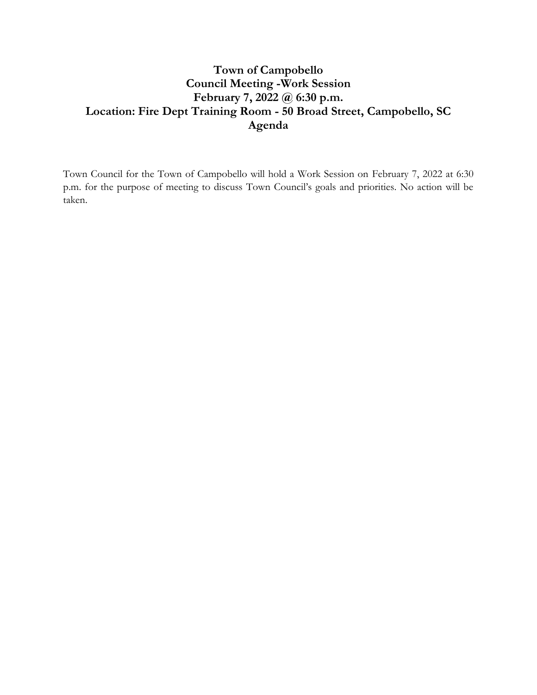# **Town of Campobello Council Meeting -Work Session February 7, 2022 @ 6:30 p.m. Location: Fire Dept Training Room - 50 Broad Street, Campobello, SC Agenda**

Town Council for the Town of Campobello will hold a Work Session on February 7, 2022 at 6:30 p.m. for the purpose of meeting to discuss Town Council's goals and priorities. No action will be taken.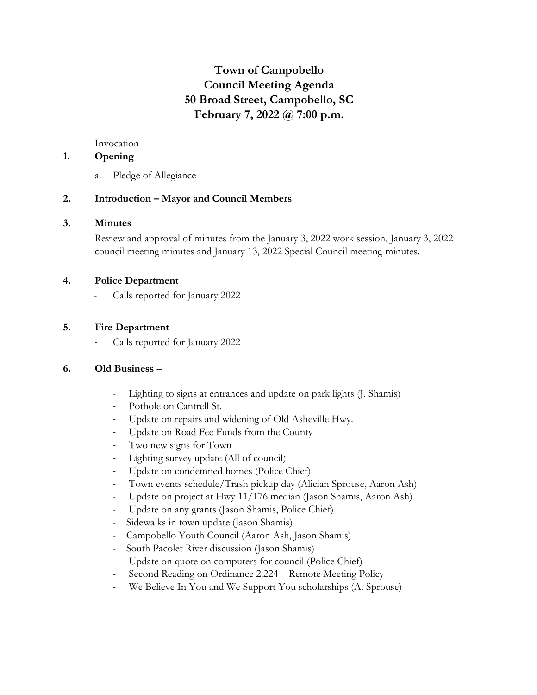# **Town of Campobello Council Meeting Agenda 50 Broad Street, Campobello, SC February 7, 2022 @ 7:00 p.m.**

Invocation

## **1. Opening**

a. Pledge of Allegiance

### **2. Introduction – Mayor and Council Members**

### **3. Minutes**

Review and approval of minutes from the January 3, 2022 work session, January 3, 2022 council meeting minutes and January 13, 2022 Special Council meeting minutes.

### **4. Police Department**

Calls reported for January 2022

## **5. Fire Department**

Calls reported for January 2022

### **6. Old Business** –

- Lighting to signs at entrances and update on park lights (J. Shamis)
- Pothole on Cantrell St.
- Update on repairs and widening of Old Asheville Hwy.
- Update on Road Fee Funds from the County
- Two new signs for Town
- Lighting survey update (All of council)
- Update on condemned homes (Police Chief)
- Town events schedule/Trash pickup day (Alician Sprouse, Aaron Ash)
- Update on project at Hwy 11/176 median (Jason Shamis, Aaron Ash)
- Update on any grants (Jason Shamis, Police Chief)
- Sidewalks in town update (Jason Shamis)
- Campobello Youth Council (Aaron Ash, Jason Shamis)
- South Pacolet River discussion (Jason Shamis)
- Update on quote on computers for council (Police Chief)
- Second Reading on Ordinance 2.224 Remote Meeting Policy
- We Believe In You and We Support You scholarships (A. Sprouse)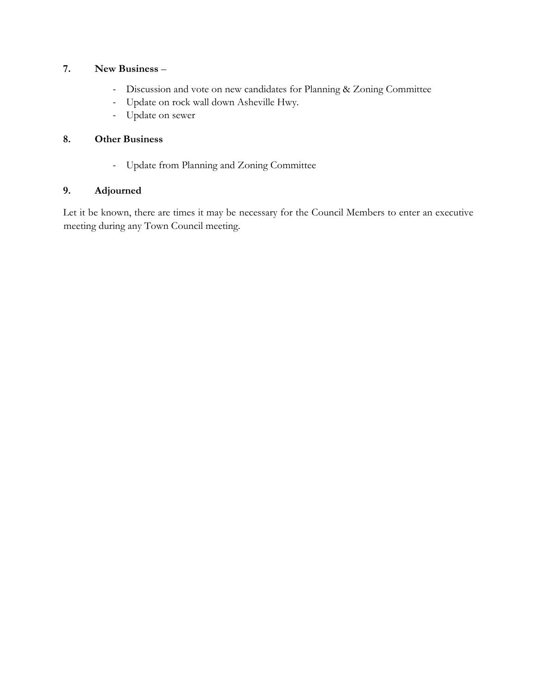# **7. New Business** –

- Discussion and vote on new candidates for Planning & Zoning Committee
- Update on rock wall down Asheville Hwy.
- Update on sewer

# **8. Other Business**

- Update from Planning and Zoning Committee

## **9. Adjourned**

Let it be known, there are times it may be necessary for the Council Members to enter an executive meeting during any Town Council meeting.